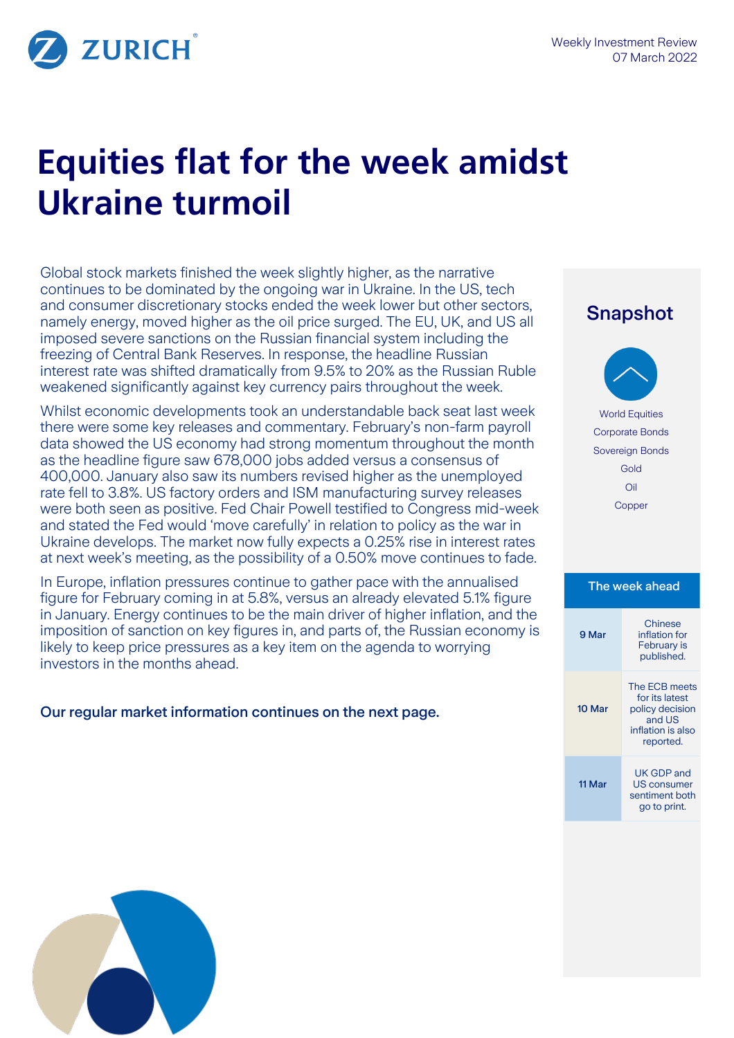Snapshot

**ZURICH** 

# **Equities flat for the week amidst Ukraine turmoil**

Global stock markets finished the week slightly higher, as the narrative continues to be dominated by the ongoing war in Ukraine. In the US, tech and consumer discretionary stocks ended the week lower but other sectors, namely energy, moved higher as the oil price surged. The EU, UK, and US all imposed severe sanctions on the Russian financial system including the freezing of Central Bank Reserves. In response, the headline Russian interest rate was shifted dramatically from 9.5% to 20% as the Russian Ruble weakened significantly against key currency pairs throughout the week.

Whilst economic developments took an understandable back seat last week there were some key releases and commentary. February's non-farm payroll data showed the US economy had strong momentum throughout the month as the headline figure saw 678,000 jobs added versus a consensus of 400,000. January also saw its numbers revised higher as the unemployed rate fell to 3.8%. US factory orders and ISM manufacturing survey releases were both seen as positive. Fed Chair Powell testified to Congress mid-week and stated the Fed would 'move carefully' in relation to policy as the war in Ukraine develops. The market now fully expects a 0.25% rise in interest rates at next week's meeting, as the possibility of a 0.50% move continues to fade.

In Europe, inflation pressures continue to gather pace with the annualised figure for February coming in at 5.8%, versus an already elevated 5.1% figure in January. Energy continues to be the main driver of higher inflation, and the imposition of sanction on key figures in, and parts of, the Russian economy is likely to keep price pressures as a key item on the agenda to worrying investors in the months ahead.

Our regular market information continues on the next page.

# World Equities Corporate Bonds Sovereign Bonds Gold Oil Copper The week ahead 9 Mar Chinese inflation for February is published. 10 Mar The ECB meets for its latest policy decision and US inflation is also reported. 11 Mar UK GDP and US consumer sentiment both go to print.